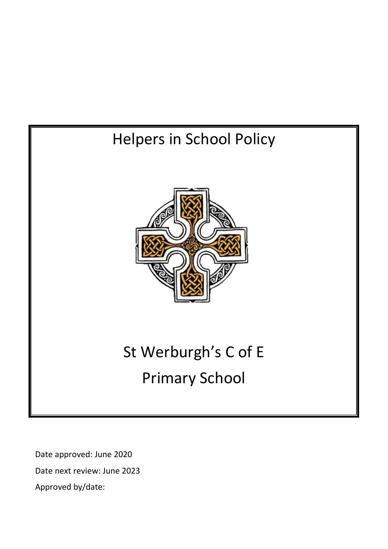# Helpers in School Policy St Werburgh's C of E Primary School

Date approved: June 2020 Date next review: June 2023 Approved by/date: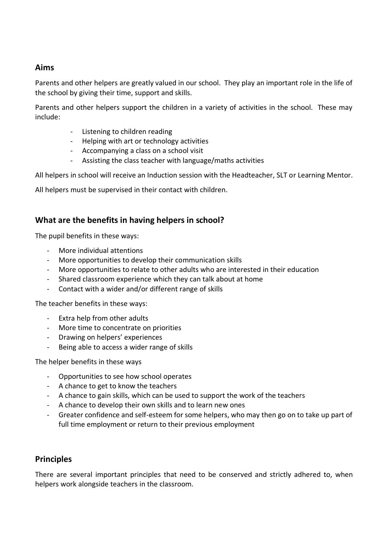# **Aims**

Parents and other helpers are greatly valued in our school. They play an important role in the life of the school by giving their time, support and skills.

Parents and other helpers support the children in a variety of activities in the school. These may include:

- Listening to children reading
- Helping with art or technology activities
- Accompanying a class on a school visit
- Assisting the class teacher with language/maths activities

All helpers in school will receive an Induction session with the Headteacher, SLT or Learning Mentor.

All helpers must be supervised in their contact with children.

# **What are the benefits in having helpers in school?**

The pupil benefits in these ways:

- More individual attentions
- More opportunities to develop their communication skills
- More opportunities to relate to other adults who are interested in their education
- Shared classroom experience which they can talk about at home
- Contact with a wider and/or different range of skills

The teacher benefits in these ways:

- Extra help from other adults
- More time to concentrate on priorities
- Drawing on helpers' experiences
- Being able to access a wider range of skills

The helper benefits in these ways

- Opportunities to see how school operates
- A chance to get to know the teachers
- A chance to gain skills, which can be used to support the work of the teachers
- A chance to develop their own skills and to learn new ones
- Greater confidence and self-esteem for some helpers, who may then go on to take up part of full time employment or return to their previous employment

# **Principles**

There are several important principles that need to be conserved and strictly adhered to, when helpers work alongside teachers in the classroom.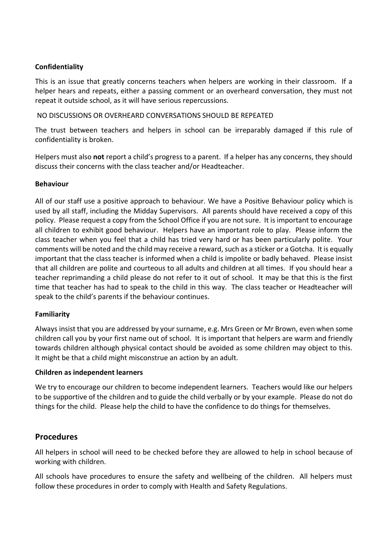# **Confidentiality**

This is an issue that greatly concerns teachers when helpers are working in their classroom. If a helper hears and repeats, either a passing comment or an overheard conversation, they must not repeat it outside school, as it will have serious repercussions.

NO DISCUSSIONS OR OVERHEARD CONVERSATIONS SHOULD BE REPEATED

The trust between teachers and helpers in school can be irreparably damaged if this rule of confidentiality is broken.

Helpers must also **not** report a child's progress to a parent. If a helper has any concerns, they should discuss their concerns with the class teacher and/or Headteacher.

# **Behaviour**

All of our staff use a positive approach to behaviour. We have a Positive Behaviour policy which is used by all staff, including the Midday Supervisors. All parents should have received a copy of this policy. Please request a copy from the School Office if you are not sure. It is important to encourage all children to exhibit good behaviour. Helpers have an important role to play. Please inform the class teacher when you feel that a child has tried very hard or has been particularly polite. Your comments will be noted and the child may receive a reward, such as a sticker or a Gotcha. It is equally important that the class teacher is informed when a child is impolite or badly behaved. Please insist that all children are polite and courteous to all adults and children at all times. If you should hear a teacher reprimanding a child please do not refer to it out of school. It may be that this is the first time that teacher has had to speak to the child in this way. The class teacher or Headteacher will speak to the child's parents if the behaviour continues.

# **Familiarity**

Always insist that you are addressed by your surname, e.g. Mrs Green or Mr Brown, even when some children call you by your first name out of school. It is important that helpers are warm and friendly towards children although physical contact should be avoided as some children may object to this. It might be that a child might misconstrue an action by an adult.

# **Children as independent learners**

We try to encourage our children to become independent learners. Teachers would like our helpers to be supportive of the children and to guide the child verbally or by your example. Please do not do things for the child. Please help the child to have the confidence to do things for themselves.

# **Procedures**

All helpers in school will need to be checked before they are allowed to help in school because of working with children.

All schools have procedures to ensure the safety and wellbeing of the children. All helpers must follow these procedures in order to comply with Health and Safety Regulations.